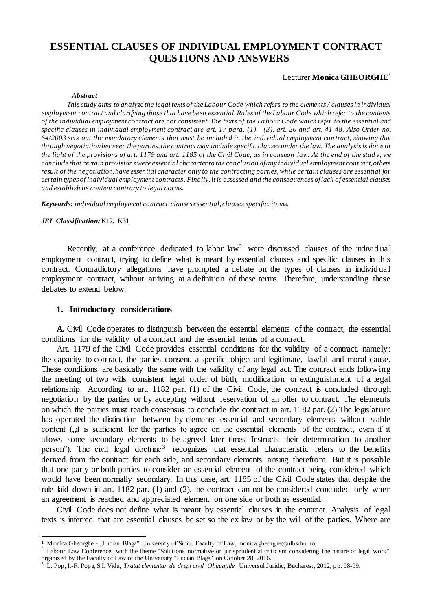# **ESSENTIAL CLAUSES OF INDIVIDUAL EMPLOYMENT CONTRACT - QUESTIONS AND ANSWERS**

### Lecturer **Monica GHEORGHE<sup>1</sup>**

#### *Abstract*

*This study aims to analyze the legal texts of the Labour Code which refers to the elements / clauses in individual employment contract and clarifying those that have been essential. Rules of the Labour Code which refer to the contents of the individual employment contract are not consistent. The texts of the La bour Code which refer to the essential and specific clauses in individual employment contract are art. 17 para. (1) - (3), art. 20 and art. 41-48. Also Order no. 64/2003 sets out the mandatory elements that must be included in the individual employment con tract, showing that through negotiation between the parties, the contract may include specific clauses under the law. The analysis is done in the light of the provisions of art. 1179 and art. 1185 of the Civil Code, as in common law. At the end of the stud y, we conclude that certain provisions were essential character to the conclusion of any individual employment contract, others result of the negotiation, have essential character only to the contracting parties, while certain clauses are essential for certain types of individual employment contracts . Finally, it is assessed and the consequences of lack of essential clauses and establish its content contrary to legal norms.*

*Keywords: individual employment contract, clauses essential, clauses specific, items.*

#### *JEL Classification:* K12, K31

 $\overline{a}$ 

Recently, at a conference dedicated to labor law<sup>2</sup> were discussed clauses of the individual employment contract, trying to define what is meant by essential clauses and specific clauses in this contract. Contradictory allegations have prompted a debate on the types of clauses in individual employment contract, without arriving at a definition of these terms. Therefore, understanding these debates to extend below.

### **1. Introductory considerations**

**A.** Civil Code operates to distinguish between the essential elements of the contract, the essential conditions for the validity of a contract and the essential terms of a contract.

Art. 1179 of the Civil Code provides essential conditions for the validity of a contract, namely: the capacity to contract, the parties consent, a specific object and legitimate, lawful and moral cause. These conditions are basically the same with the validity of any legal act. The contract ends following the meeting of two wills consistent legal order of birth, modification or extinguishment of a legal relationship. According to art. 1182 par. (1) of the Civil Code, the contract is concluded through negotiation by the parties or by accepting without reservation of an offer to contract. The elements on which the parties must reach consensus to conclude the contract in art.  $1182$  par. (2) The legislature has operated the distinction between by elements essential and secondary elements without stable content  $($ , it is sufficient for the parties to agree on the essential elements of the contract, even if it allows some secondary elements to be agreed later times Instructs their determination to another person"). The civil legal doctrine<sup>3</sup> recognizes that essential characteristic refers to the benefits derived from the contract for each side, and secondary elements arising therefrom. But it is possible that one party or both parties to consider an essential element of the contract being considered which would have been normally secondary. In this case, art. 1185 of the Civil Code states that despite the rule laid down in art. 1182 par. (1) and (2), the contract can not be considered concluded only when an agreement is reached and appreciated element on one side or both as essential.

Civil Code does not define what is meant by essential clauses in the contract. Analysis of legal texts is inferred that are essential clauses be set so the ex law or by the will of the parties. Where are

<sup>&</sup>lt;sup>1</sup> Monica Gheorghe - "Lucian Blaga" University of Sibiu, Faculty of Law, monica.gheorghe@ulbsibiu.ro

<sup>&</sup>lt;sup>2</sup> Labour Law Conference, with the theme "Solutions normative or jurisprudential criticism considering the nature of legal work", organized by the Faculty of Law of the University "Lucian Blaga" on October 28, 2016.

<sup>3</sup> L. Pop, I.-F. Popa, S.I. Vidu, *Tratat elementar de drept civil. Obligațiile,* Universul Juridic, Bucharest, 2012, pp. 98-99.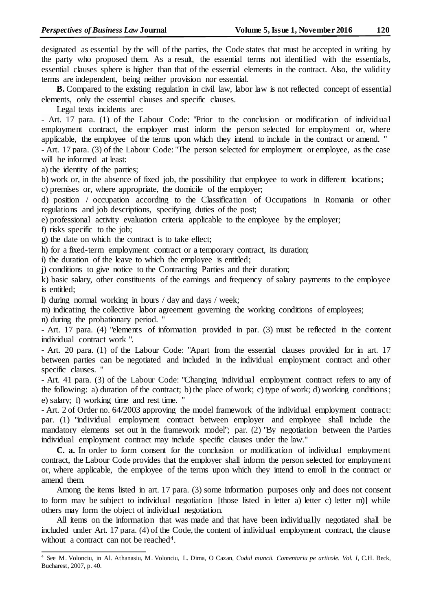designated as essential by the will of the parties, the Code states that must be accepted in writing by the party who proposed them. As a result, the essential terms not identified with the essentials, essential clauses sphere is higher than that of the essential elements in the contract. Also, the validity terms are independent, being neither provision nor essential.

**B.** Compared to the existing regulation in civil law, labor law is not reflected concept of essential elements, only the essential clauses and specific clauses.

Legal texts incidents are:

- Art. 17 para. (1) of the Labour Code: "Prior to the conclusion or modification of individual employment contract, the employer must inform the person selected for employment or, where applicable, the employee of the terms upon which they intend to include in the contract or amend. "

- Art. 17 para. (3) of the Labour Code: "The person selected for employment or employee, as the case will be informed at least:

a) the identity of the parties;

b) work or, in the absence of fixed job, the possibility that employee to work in different locations;

c) premises or, where appropriate, the domicile of the employer;

d) position / occupation according to the Classification of Occupations in Romania or other regulations and job descriptions, specifying duties of the post;

e) professional activity evaluation criteria applicable to the employee by the employer;

f) risks specific to the job;

g) the date on which the contract is to take effect;

h) for a fixed-term employment contract or a temporary contract, its duration;

i) the duration of the leave to which the employee is entitled;

j) conditions to give notice to the Contracting Parties and their duration;

k) basic salary, other constituents of the earnings and frequency of salary payments to the employee is entitled;

l) during normal working in hours / day and days / week;

m) indicating the collective labor agreement governing the working conditions of employees;

n) during the probationary period. "

- Art. 17 para. (4) "elements of information provided in par. (3) must be reflected in the content individual contract work ".

- Art. 20 para. (1) of the Labour Code: "Apart from the essential clauses provided for in art. 17 between parties can be negotiated and included in the individual employment contract and other specific clauses. "

- Art. 41 para. (3) of the Labour Code: "Changing individual employment contract refers to any of the following: a) duration of the contract; b) the place of work; c) type of work; d) working conditions; e) salary; f) working time and rest time. "

- Art. 2 of Order no. 64/2003 approving the model framework of the individual employment contract: par. (1) "individual employment contract between employer and employee shall include the mandatory elements set out in the framework model"; par. (2) "By negotiation between the Parties individual employment contract may include specific clauses under the law."

**C. a.** In order to form consent for the conclusion or modification of individual employment contract, the Labour Code provides that the employer shall inform the person selected for employment or, where applicable, the employee of the terms upon which they intend to enroll in the contract or amend them.

Among the items listed in art. 17 para. (3) some information purposes only and does not consent to form may be subject to individual negotiation [those listed in letter a) letter c) letter m)] while others may form the object of individual negotiation.

All items on the information that was made and that have been individually negotiated shall be included under Art. 17 para. (4) of the Code, the content of individual employment contract, the clause without a contract can not be reached<sup>4</sup>.

 $\overline{a}$ <sup>4</sup> See M. Volonciu, in Al. Athanasiu, M. Volonciu, L. Dima, O Cazan, *Codul muncii. Comentariu pe articole. Vol. I*, C.H. Beck, Bucharest, 2007, p. 40.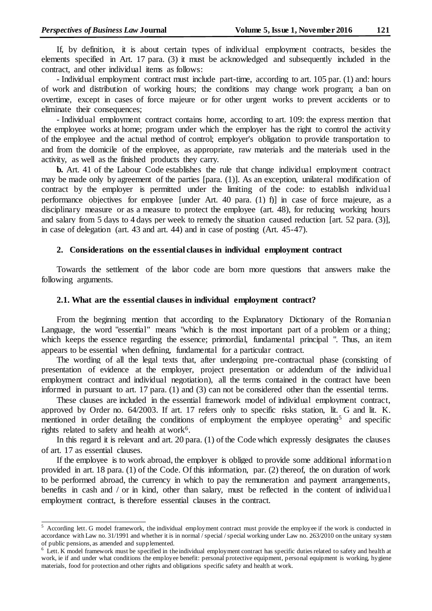l

If, by definition, it is about certain types of individual employment contracts, besides the elements specified in Art. 17 para. (3) it must be acknowledged and subsequently included in the contract, and other individual items as follows:

- Individual employment contract must include part-time, according to art. 105 par. (1) and: hours of work and distribution of working hours; the conditions may change work program; a ban on overtime, except in cases of force majeure or for other urgent works to prevent accidents or to eliminate their consequences;

- Individual employment contract contains home, according to art. 109: the express mention that the employee works at home; program under which the employer has the right to control the activity of the employee and the actual method of control; employer's obligation to provide transportation to and from the domicile of the employee, as appropriate, raw materials and the materials used in the activity, as well as the finished products they carry.

**b.** Art. 41 of the Labour Code establishes the rule that change individual employment contract may be made only by agreement of the parties [para. (1)]. As an exception, unilateral modification of contract by the employer is permitted under the limiting of the code: to establish individual performance objectives for employee [under Art. 40 para. (1) f)] in case of force majeure, as a disciplinary measure or as a measure to protect the employee (art. 48), for reducing working hours and salary from 5 days to 4 days per week to remedy the situation caused reduction [art. 52 para. (3)], in case of delegation (art. 43 and art. 44) and in case of posting (Art. 45-47).

#### **2. Considerations on the essential clauses in individual employment contract**

Towards the settlement of the labor code are born more questions that answers make the following arguments.

#### **2.1. What are the essential clauses in individual employment contract?**

From the beginning mention that according to the Explanatory Dictionary of the Romanian Language, the word "essential" means "which is the most important part of a problem or a thing; which keeps the essence regarding the essence; primordial, fundamental principal ". Thus, an item appears to be essential when defining, fundamental for a particular contract.

The wording of all the legal texts that, after undergoing pre-contractual phase (consisting of presentation of evidence at the employer, project presentation or addendum of the individual employment contract and individual negotiation), all the terms contained in the contract have been informed in pursuant to art. 17 para. (1) and (3) can not be considered other than the essential terms.

These clauses are included in the essential framework model of individual employment contract, approved by Order no. 64/2003. If art. 17 refers only to specific risks station, lit. G and lit. K. mentioned in order detailing the conditions of employment the employee operating<sup>5</sup> and specific rights related to safety and health at work<sup>6</sup>.

In this regard it is relevant and art. 20 para. (1) of the Code which expressly designates the clauses of art. 17 as essential clauses.

If the employee is to work abroad, the employer is obliged to provide some additional information provided in art. 18 para. (1) of the Code. Of this information, par. (2) thereof, the on duration of work to be performed abroad, the currency in which to pay the remuneration and payment arrangements, benefits in cash and / or in kind, other than salary, must be reflected in the content of individual employment contract, is therefore essential clauses in the contract.

 $5$  According lett. G model framework, the individual employment contract must provide the employee if the work is conducted in accordance with Law no. 31/1991 and whether it is in normal / special / special working under Law no. 263/2010 on the unitary system of public pensions, as amended and supplemented.

 $6$  Lett. K model framework must be specified in the individual employment contract has specific duties related to safety and health at work, ie if and under what conditions the employee benefit: personal protective equipment, personal equipment is working, hygiene materials, food for protection and other rights and obligations specific safety and health at work.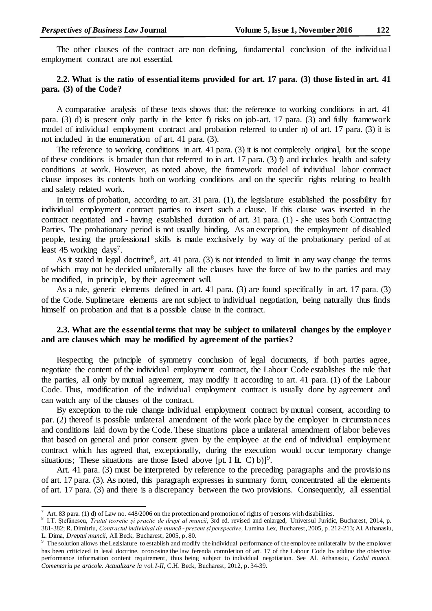The other clauses of the contract are non defining, fundamental conclusion of the individual employment contract are not essential.

# **2.2. What is the ratio of essential items provided for art. 17 para. (3) those listed in art. 41 para. (3) of the Code?**

A comparative analysis of these texts shows that: the reference to working conditions in art. 41 para. (3) d) is present only partly in the letter f) risks on job-art. 17 para. (3) and fully framework model of individual employment contract and probation referred to under n) of art. 17 para. (3) it is not included in the enumeration of art. 41 para. (3).

The reference to working conditions in art. 41 para. (3) it is not completely original, but the scope of these conditions is broader than that referred to in art. 17 para. (3) f) and includes health and safety conditions at work. However, as noted above, the framework model of individual labor contract clause imposes its contents both on working conditions and on the specific rights relating to health and safety related work.

In terms of probation, according to art. 31 para. (1), the legislature established the possibility for individual employment contract parties to insert such a clause. If this clause was inserted in the contract negotiated and - having established duration of art. 31 para. (1) - she uses both Contracting Parties. The probationary period is not usually binding. As an exception, the employment of disabled people, testing the professional skills is made exclusively by way of the probationary period of at least 45 working days<sup>7</sup>.

As it stated in legal doctrine<sup>8</sup>, art. 41 para. (3) is not intended to limit in any way change the terms of which may not be decided unilaterally all the clauses have the force of law to the parties and may be modified, in principle, by their agreement will.

As a rule, generic elements defined in art. 41 para. (3) are found specifically in art. 17 para. (3) of the Code. Suplimetare elements are not subject to individual negotiation, being naturally thus finds himself on probation and that is a possible clause in the contract.

# **2.3. What are the essential terms that may be subject to unilateral changes by the employer and are clauses which may be modified by agreement of the parties?**

Respecting the principle of symmetry conclusion of legal documents, if both parties agree, negotiate the content of the individual employment contract, the Labour Code establishes the rule that the parties, all only by mutual agreement, may modify it according to art. 41 para. (1) of the Labour Code. Thus, modification of the individual employment contract is usually done by agreement and can watch any of the clauses of the contract.

By exception to the rule change individual employment contract by mutual consent, according to par. (2) thereof is possible unilateral amendment of the work place by the employer in circumstances and conditions laid down by the Code. These situations place a unilateral amendment of labor believes that based on general and prior consent given by the employee at the end of individual employment contract which has agreed that, exceptionally, during the execution would occur temporary change situations; These situations are those listed above [pt. I lit. C) b)]<sup>9</sup>.

Art. 41 para. (3) must be interpreted by reference to the preceding paragraphs and the provisions of art. 17 para. (3). As noted, this paragraph expresses in summary form, concentrated all the elements of art. 17 para. (3) and there is a discrepancy between the two provisions. Consequently, all essential

 $\overline{a}$ 

Art. 83 para. (1) d) of Law no. 448/2006 on the protection and promotion of rights of persons with disabilities.

<sup>8</sup> I.T. Ștefănescu, *Tratat teoretic și practic de drept al muncii*, 3rd ed. revised and enlarged, Universul Juridic, Bucharest, 2014, p. 381-382; R. Dimitriu, *Contractul individual de muncă - prezent și perspective*, Lumina Lex, Bucharest, 2005, p. 212-213; Al. Athanasiu, L. Dima, *Dreptul muncii,* All Beck, Bucharest, 2005, p. 80.

The solution allows the Legislature to establish and modify the individual performance of the employee unilaterally by the employer has been criticized in legal doctrine, proposing the law ferenda completion of art. 17 of the Labour Code by adding the objective performance information content requirement, thus being subject to individual negotiation. See Al. Athanasiu, *Codul muncii. Comentariu pe articole. Actualizare la vol. I-II*, C.H. Beck, Bucharest, 2012, p. 34-39.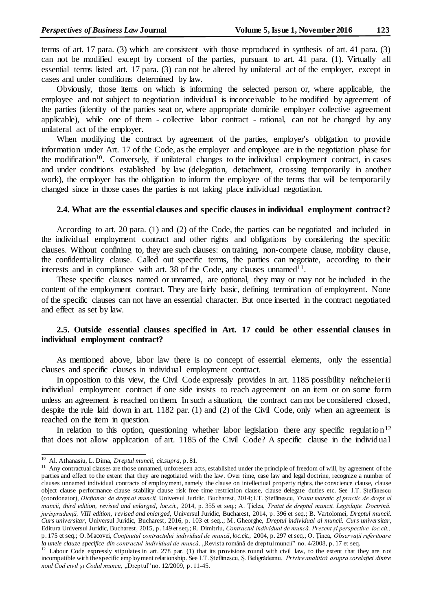terms of art. 17 para. (3) which are consistent with those reproduced in synthesis of art. 41 para. (3) can not be modified except by consent of the parties, pursuant to art. 41 para. (1). Virtually all essential terms listed art. 17 para. (3) can not be altered by unilateral act of the employer, except in cases and under conditions determined by law.

Obviously, those items on which is informing the selected person or, where applicable, the employee and not subject to negotiation individual is inconceivable to be modified by agreement of the parties (identity of the parties seat or, where appropriate domicile employer collective agreement applicable), while one of them - collective labor contract - rational, can not be changed by any unilateral act of the employer.

When modifying the contract by agreement of the parties, employer's obligation to provide information under Art. 17 of the Code, as the employer and employee are in the negotiation phase for the modification<sup>10</sup>. Conversely, if unilateral changes to the individual employment contract, in cases and under conditions established by law (delegation, detachment, crossing temporarily in another work), the employer has the obligation to inform the employee of the terms that will be temporarily changed since in those cases the parties is not taking place individual negotiation.

### **2.4. What are the essential clauses and specific clauses in individual employment contract?**

According to art. 20 para. (1) and (2) of the Code, the parties can be negotiated and included in the individual employment contract and other rights and obligations by considering the specific clauses. Without confining to, they are such clauses: on training, non-compete clause, mobility clause, the confidentiality clause. Called out specific terms, the parties can negotiate, according to their interests and in compliance with art. 38 of the Code, any clauses unnamed<sup>11</sup>.

These specific clauses named or unnamed, are optional, they may or may not be included in the content of the employment contract. They are fairly basic, defining termination of employment. None of the specific clauses can not have an essential character. But once inserted in the contract negotiated and effect as set by law.

# **2.5. Outside essential clauses specified in Art. 17 could be other essential clauses in individual employment contract?**

As mentioned above, labor law there is no concept of essential elements, only the essential clauses and specific clauses in individual employment contract.

In opposition to this view, the Civil Code expressly provides in art. 1185 possibility neîncheierii individual employment contract if one side insists to reach agreement on an item or on some form unless an agreement is reached on them. In such a situation, the contract can not be considered closed, despite the rule laid down in art. 1182 par. (1) and (2) of the Civil Code, only when an agreement is reached on the item in question.

In relation to this option, questioning whether labor legislation there any specific regulation<sup>12</sup> that does not allow application of art. 1185 of the Civil Code? A specific clause in the individual

j

<sup>10</sup> Al. Athanasiu, L. Dima, *Dreptul muncii, cit.supra,* p. 81.

<sup>&</sup>lt;sup>11</sup> Any contractual clauses are those unnamed, unforeseen acts, established under the principle of freedom of will, by agreement of the parties and effect to the extent that they are negotiated with the law. Over time, case law and legal doctrine, recognize a number of clauses unnamed individual contracts of employment, namely the clause on intellectual property rights, the conscience clause, clause object clause performance clause stability clause risk free time restriction clause, clause delegate duties etc. See I.T. Ştefănescu (coordonator), *Dicționar de drept al muncii,* Universul Juridic, Bucharest, 2014; I.T. Ştefănescu, *Tratat teoretic şi practic de drept al muncii, third edition, revised and enlarged, loc.cit.,* 2014, p. 355 et seq.; A. Ţiclea, *Tratat de dreptul muncii. Legislație. Doctrină. jurisprudență, VIII edition, revised and enlarged,* Universul Juridic, Bucharest*,* 2014, p. 396 et seq.; B. Vartolomei, *Dreptul muncii. Curs universitar,* Universul Juridic, Bucharest, 2016*,* p. 103 et seq..; M. Gheorghe, *Dreptul individual al muncii. Curs universitar*, Editura Universul Juridic, Bucharest, 2015, p. 149 et seq.; R. Dimitriu, *Contractul individual de muncă. Prezent şi perspective, loc.cit.,*  p. 175 et seq.; O. Macovei, *Conţinutul contractului individual de muncă*, *loc.cit.,* 2004, p. 297 et seq.; O. Ținca, *Observații referitoare*  la unele clauze specifice din contractul individual de muncă, "Revista română de dreptul muncii" no. 4/2008, p. 17 et seq.

<sup>&</sup>lt;sup>12</sup> Labour Code expressly stipulates in art. 278 par. (1) that its provisions round with civil law, to the extent that they are not incompatible with the specific employment relationship. See I.T. Ștefănescu, Ș. Beligrădeanu, *Privire analitică asupra corelației dintre noul Cod civil și Codul muncii*, "Dreptul" no. 12/2009, p. 11-45.